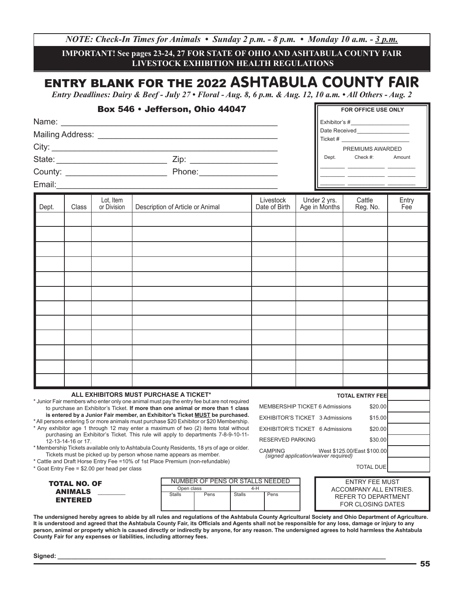*NOTE: Check-In Times for Animals • Sunday 2 p.m. - 8 p.m. • Monday 10 a.m. - 3 p.m.* 

**IMPORTANT! See pages 23-24, 27 FOR STATE OF OHIO AND ASHTABULA COUNTY FAIR LIVESTOCK EXHIBITION HEALTH REGULATIONS**

## ENTRY BLANK FOR THE 2022 ASHTABULA COUNTY FAIR

*Entry Deadlines: Dairy & Beef - July 27 • Floral - Aug. 8, 6 p.m. & Aug. 12, 10 a.m. • All Others - Aug. 2*

|                                                                                                                                                                                                                                                                                                                                                                                                                                                                                                                                                                                                                                                                                                                                                                                                                                                                                                               |       |                          |  | Box 546 • Jefferson, Ohio 44047                                                                |  |  |                                           | Dept.                                                                                       | FOR OFFICE USE ONLY<br>Date Received__________________<br>$Ticket # \_$<br>PREMIUMS AWARDED<br>Check #:<br>Amount<br><u> 2001 - Januar James, president popular (</u><br>the control of the control of the control of the control of the control of the control of                         |              |  |
|---------------------------------------------------------------------------------------------------------------------------------------------------------------------------------------------------------------------------------------------------------------------------------------------------------------------------------------------------------------------------------------------------------------------------------------------------------------------------------------------------------------------------------------------------------------------------------------------------------------------------------------------------------------------------------------------------------------------------------------------------------------------------------------------------------------------------------------------------------------------------------------------------------------|-------|--------------------------|--|------------------------------------------------------------------------------------------------|--|--|-------------------------------------------|---------------------------------------------------------------------------------------------|--------------------------------------------------------------------------------------------------------------------------------------------------------------------------------------------------------------------------------------------------------------------------------------------|--------------|--|
| Dept.                                                                                                                                                                                                                                                                                                                                                                                                                                                                                                                                                                                                                                                                                                                                                                                                                                                                                                         | Class | Lot, Item<br>or Division |  | Description of Article or Animal                                                               |  |  | Livestock<br>Date of Birth                | Under 2 yrs.<br>Age in Months                                                               | Cattle<br>Reg. No.                                                                                                                                                                                                                                                                         | Entry<br>Fee |  |
|                                                                                                                                                                                                                                                                                                                                                                                                                                                                                                                                                                                                                                                                                                                                                                                                                                                                                                               |       |                          |  |                                                                                                |  |  |                                           |                                                                                             |                                                                                                                                                                                                                                                                                            |              |  |
|                                                                                                                                                                                                                                                                                                                                                                                                                                                                                                                                                                                                                                                                                                                                                                                                                                                                                                               |       |                          |  |                                                                                                |  |  |                                           |                                                                                             |                                                                                                                                                                                                                                                                                            |              |  |
| ALL EXHIBITORS MUST PURCHASE A TICKET*<br>* Junior Fair members who enter only one animal must pay the entry fee but are not required<br>to purchase an Exhibitor's Ticket. If more than one animal or more than 1 class<br>is entered by a Junior Fair member, an Exhibitor's Ticket MUST be purchased.<br>* All persons entering 5 or more animals must purchase \$20 Exhibitor or \$20 Membership.<br>* Any exhibitor age 1 through 12 may enter a maximum of two (2) items total without<br>purchasing an Exhibitor's Ticket. This rule will apply to departments 7-8-9-10-11-<br>12-13-14-16 or 17.<br>* Membership Tickets available only to Ashtabula County Residents, 18 yrs of age or older.<br>Tickets must be picked up by person whose name appears as member.<br>* Cattle and Draft Horse Entry Fee = 10% of 1st Place Premium (non-refundable)<br>* Goat Entry Fee = \$2.00 per head per class |       |                          |  |                                                                                                |  |  | <b>RESERVED PARKING</b><br><b>CAMPING</b> |                                                                                             | <b>TOTAL ENTRY FEE</b><br><b>MEMBERSHIP TICKET 6 Admissions</b><br>\$20.00<br><b>EXHIBITOR'S TICKET 3 Admissions</b><br>\$15.00<br><b>EXHIBITOR'S TICKET 6 Admissions</b><br>\$20.00<br>\$30.00<br>West \$125.00/East \$100.00<br>(signed application/waiver required)<br><b>TOTAL DUE</b> |              |  |
| <b>TOTAL NO. OF</b><br><b>ANIMALS</b><br><b>ENTERED</b>                                                                                                                                                                                                                                                                                                                                                                                                                                                                                                                                                                                                                                                                                                                                                                                                                                                       |       |                          |  | NUMBER OF PENS OR STALLS NEEDED<br>Open class<br>4-H<br><b>Stalls</b><br>Pens<br><b>Stalls</b> |  |  | Pens                                      | <b>ENTRY FEE MUST</b><br>ACCOMPANY ALL ENTRIES.<br>REFER TO DEPARTMENT<br>FOR CLOSING DATES |                                                                                                                                                                                                                                                                                            |              |  |

**The undersigned hereby agrees to abide by all rules and regulations of the Ashtabula County Agricultural Society and Ohio Department of Agriculture. It is understood and agreed that the Ashtabula County Fair, its Officials and Agents shall not be responsible for any loss, damage or injury to any person, animal or property which is caused directly or indirectly by anyone, for any reason. The undersigned agrees to hold harmless the Ashtabula County Fair for any expenses or liabilities, including attorney fees.**

**Signed: \_\_\_\_\_\_\_\_\_\_\_\_\_\_\_\_\_\_\_\_\_\_\_\_\_\_\_\_\_\_\_\_\_\_\_\_\_\_\_\_\_\_\_\_\_\_\_\_\_\_\_\_\_\_\_\_\_\_\_\_\_\_\_\_\_\_\_\_\_\_\_\_\_\_\_\_\_\_\_\_\_\_\_\_\_\_\_\_\_\_\_\_\_\_\_**